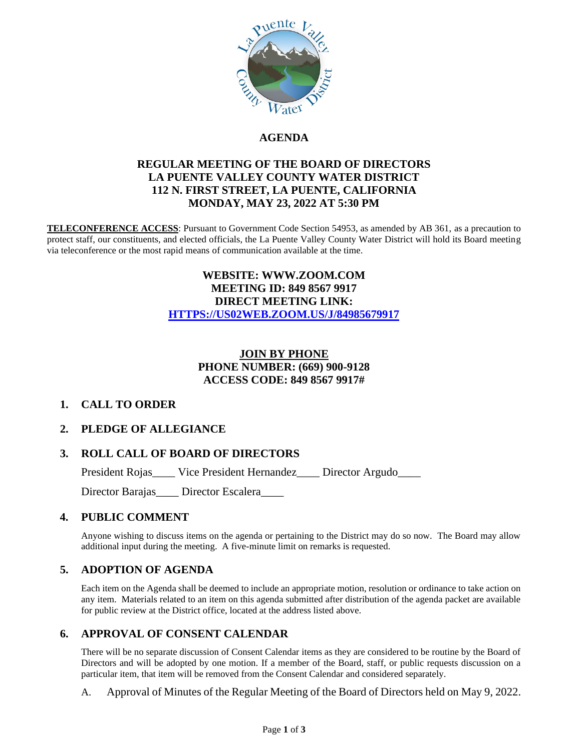

# **AGENDA**

### **REGULAR MEETING OF THE BOARD OF DIRECTORS LA PUENTE VALLEY COUNTY WATER DISTRICT 112 N. FIRST STREET, LA PUENTE, CALIFORNIA MONDAY, MAY 23, 2022 AT 5:30 PM**

**TELECONFERENCE ACCESS**: Pursuant to Government Code Section 54953, as amended by AB 361, as a precaution to protect staff, our constituents, and elected officials, the La Puente Valley County Water District will hold its Board meeting via teleconference or the most rapid means of communication available at the time.

### **WEBSITE: WWW.ZOOM.COM MEETING ID: 849 8567 9917 DIRECT MEETING LINK: [HTTPS://US02WEB.ZOOM.US/J/84985679917](https://us02web.zoom.us/j/84985679917)**

# **JOIN BY PHONE PHONE NUMBER: (669) 900-9128 ACCESS CODE: 849 8567 9917#**

### **1. CALL TO ORDER**

### **2. PLEDGE OF ALLEGIANCE**

### **3. ROLL CALL OF BOARD OF DIRECTORS**

President Rojas\_\_\_\_ Vice President Hernandez\_\_\_\_ Director Argudo\_\_\_\_

Director Barajas\_\_\_\_ Director Escalera\_\_\_\_

### **4. PUBLIC COMMENT**

Anyone wishing to discuss items on the agenda or pertaining to the District may do so now. The Board may allow additional input during the meeting. A five-minute limit on remarks is requested.

#### **5. ADOPTION OF AGENDA**

Each item on the Agenda shall be deemed to include an appropriate motion, resolution or ordinance to take action on any item. Materials related to an item on this agenda submitted after distribution of the agenda packet are available for public review at the District office, located at the address listed above.

#### **6. APPROVAL OF CONSENT CALENDAR**

There will be no separate discussion of Consent Calendar items as they are considered to be routine by the Board of Directors and will be adopted by one motion. If a member of the Board, staff, or public requests discussion on a particular item, that item will be removed from the Consent Calendar and considered separately.

A. Approval of Minutes of the Regular Meeting of the Board of Directors held on May 9, 2022.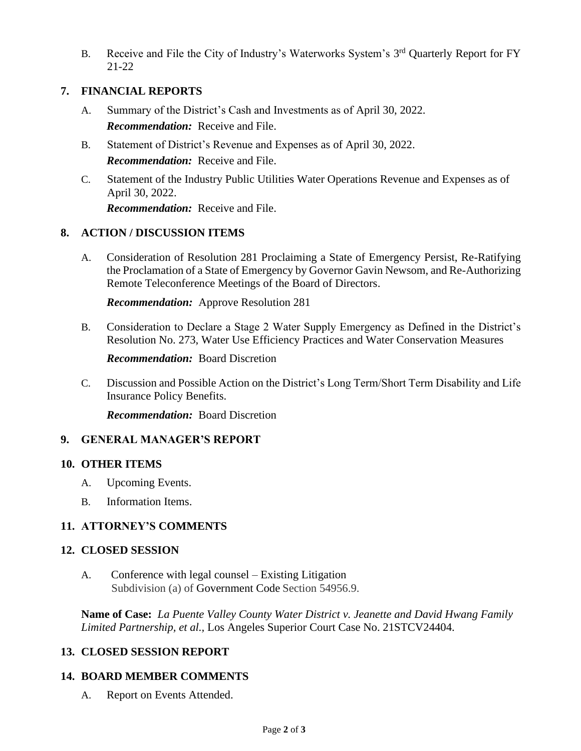B. Receive and File the City of Industry's Waterworks System's 3<sup>rd</sup> Quarterly Report for FY 21-22

## **7. FINANCIAL REPORTS**

- A. Summary of the District's Cash and Investments as of April 30, 2022. *Recommendation:* Receive and File.
- B. Statement of District's Revenue and Expenses as of April 30, 2022. *Recommendation:* Receive and File.
- C. Statement of the Industry Public Utilities Water Operations Revenue and Expenses as of April 30, 2022. *Recommendation:* Receive and File.

# **8. ACTION / DISCUSSION ITEMS**

A. Consideration of Resolution 281 Proclaiming a State of Emergency Persist, Re-Ratifying the Proclamation of a State of Emergency by Governor Gavin Newsom, and Re-Authorizing Remote Teleconference Meetings of the Board of Directors.

*Recommendation:* Approve Resolution 281

B. Consideration to Declare a Stage 2 Water Supply Emergency as Defined in the District's Resolution No. 273, Water Use Efficiency Practices and Water Conservation Measures

*Recommendation:* Board Discretion

C. Discussion and Possible Action on the District's Long Term/Short Term Disability and Life Insurance Policy Benefits.

*Recommendation:* Board Discretion

### **9. GENERAL MANAGER'S REPORT**

### **10. OTHER ITEMS**

- A. Upcoming Events.
- B. Information Items.

# **11. ATTORNEY'S COMMENTS**

### **12. CLOSED SESSION**

A. Conference with legal counsel – Existing Litigation Subdivision (a) of Government Code Section 54956.9.

**Name of Case:** *La Puente Valley County Water District v. Jeanette and David Hwang Family Limited Partnership, et al.,* Los Angeles Superior Court Case No. 21STCV24404.

# **13. CLOSED SESSION REPORT**

### **14. BOARD MEMBER COMMENTS**

A. Report on Events Attended.